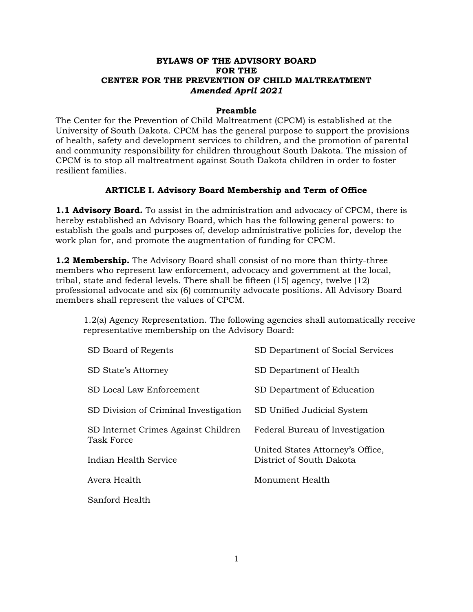# **BYLAWS OF THE ADVISORY BOARD FOR THE CENTER FOR THE PREVENTION OF CHILD MALTREATMENT** *Amended April 2021*

#### **Preamble**

The Center for the Prevention of Child Maltreatment (CPCM) is established at the University of South Dakota. CPCM has the general purpose to support the provisions of health, safety and development services to children, and the promotion of parental and community responsibility for children throughout South Dakota. The mission of CPCM is to stop all maltreatment against South Dakota children in order to foster resilient families.

# **ARTICLE I. Advisory Board Membership and Term of Office**

**1.1 Advisory Board.** To assist in the administration and advocacy of CPCM, there is hereby established an Advisory Board, which has the following general powers: to establish the goals and purposes of, develop administrative policies for, develop the work plan for, and promote the augmentation of funding for CPCM.

**1.2 Membership.** The Advisory Board shall consist of no more than thirty-three members who represent law enforcement, advocacy and government at the local, tribal, state and federal levels. There shall be fifteen (15) agency, twelve (12) professional advocate and six (6) community advocate positions. All Advisory Board members shall represent the values of CPCM.

1.2(a) Agency Representation. The following agencies shall automatically receive representative membership on the Advisory Board:

| SD Board of Regents                                      | SD Department of Social Services                             |
|----------------------------------------------------------|--------------------------------------------------------------|
| SD State's Attorney                                      | SD Department of Health                                      |
| SD Local Law Enforcement                                 | SD Department of Education                                   |
| SD Division of Criminal Investigation                    | SD Unified Judicial System                                   |
| SD Internet Crimes Against Children<br><b>Task Force</b> | Federal Bureau of Investigation                              |
| Indian Health Service                                    | United States Attorney's Office,<br>District of South Dakota |
| Avera Health                                             | Monument Health                                              |
| Sanford Health                                           |                                                              |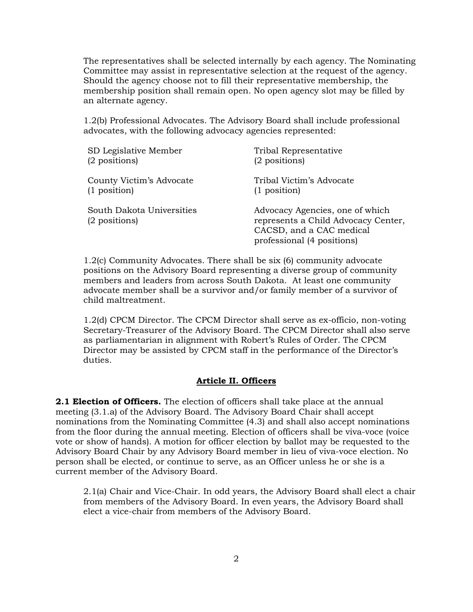The representatives shall be selected internally by each agency. The Nominating Committee may assist in representative selection at the request of the agency. Should the agency choose not to fill their representative membership, the membership position shall remain open. No open agency slot may be filled by an alternate agency.

1.2(b) Professional Advocates. The Advisory Board shall include professional advocates, with the following advocacy agencies represented:

| SD Legislative Member                      | Tribal Representative                                                                                                            |
|--------------------------------------------|----------------------------------------------------------------------------------------------------------------------------------|
| (2 positions)                              | (2 positions)                                                                                                                    |
| County Victim's Advocate                   | Tribal Victim's Advocate                                                                                                         |
| $(1$ position)                             | $(1$ position)                                                                                                                   |
| South Dakota Universities<br>(2 positions) | Advocacy Agencies, one of which<br>represents a Child Advocacy Center,<br>CACSD, and a CAC medical<br>professional (4 positions) |

1.2(c) Community Advocates. There shall be six (6) community advocate positions on the Advisory Board representing a diverse group of community members and leaders from across South Dakota. At least one community advocate member shall be a survivor and/or family member of a survivor of child maltreatment.

1.2(d) CPCM Director. The CPCM Director shall serve as ex-officio, non-voting Secretary-Treasurer of the Advisory Board. The CPCM Director shall also serve as parliamentarian in alignment with Robert's Rules of Order. The CPCM Director may be assisted by CPCM staff in the performance of the Director's duties.

#### **Article II. Officers**

**2.1 Election of Officers.** The election of officers shall take place at the annual meeting (3.1.a) of the Advisory Board. The Advisory Board Chair shall accept nominations from the Nominating Committee (4.3) and shall also accept nominations from the floor during the annual meeting. Election of officers shall be viva-voce (voice vote or show of hands). A motion for officer election by ballot may be requested to the Advisory Board Chair by any Advisory Board member in lieu of viva-voce election. No person shall be elected, or continue to serve, as an Officer unless he or she is a current member of the Advisory Board.

2.1(a) Chair and Vice-Chair. In odd years, the Advisory Board shall elect a chair from members of the Advisory Board. In even years, the Advisory Board shall elect a vice-chair from members of the Advisory Board.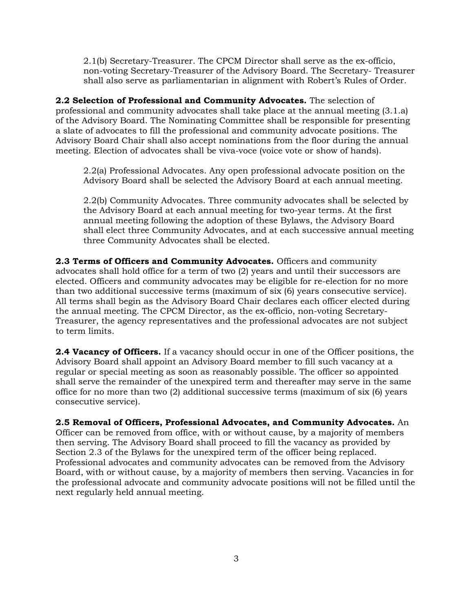2.1(b) Secretary-Treasurer. The CPCM Director shall serve as the ex-officio, non-voting Secretary-Treasurer of the Advisory Board. The Secretary- Treasurer shall also serve as parliamentarian in alignment with Robert's Rules of Order.

**2.2 Selection of Professional and Community Advocates.** The selection of professional and community advocates shall take place at the annual meeting (3.1.a) of the Advisory Board. The Nominating Committee shall be responsible for presenting a slate of advocates to fill the professional and community advocate positions. The Advisory Board Chair shall also accept nominations from the floor during the annual meeting. Election of advocates shall be viva-voce (voice vote or show of hands).

2.2(a) Professional Advocates. Any open professional advocate position on the Advisory Board shall be selected the Advisory Board at each annual meeting.

2.2(b) Community Advocates. Three community advocates shall be selected by the Advisory Board at each annual meeting for two-year terms. At the first annual meeting following the adoption of these Bylaws, the Advisory Board shall elect three Community Advocates, and at each successive annual meeting three Community Advocates shall be elected.

**2.3 Terms of Officers and Community Advocates.** Officers and community advocates shall hold office for a term of two (2) years and until their successors are elected. Officers and community advocates may be eligible for re-election for no more than two additional successive terms (maximum of six (6) years consecutive service). All terms shall begin as the Advisory Board Chair declares each officer elected during the annual meeting. The CPCM Director, as the ex-officio, non-voting Secretary-Treasurer, the agency representatives and the professional advocates are not subject to term limits.

**2.4 Vacancy of Officers.** If a vacancy should occur in one of the Officer positions, the Advisory Board shall appoint an Advisory Board member to fill such vacancy at a regular or special meeting as soon as reasonably possible. The officer so appointed shall serve the remainder of the unexpired term and thereafter may serve in the same office for no more than two (2) additional successive terms (maximum of six (6) years consecutive service).

**2.5 Removal of Officers, Professional Advocates, and Community Advocates.** An Officer can be removed from office, with or without cause, by a majority of members then serving. The Advisory Board shall proceed to fill the vacancy as provided by Section 2.3 of the Bylaws for the unexpired term of the officer being replaced. Professional advocates and community advocates can be removed from the Advisory Board, with or without cause, by a majority of members then serving. Vacancies in for the professional advocate and community advocate positions will not be filled until the next regularly held annual meeting.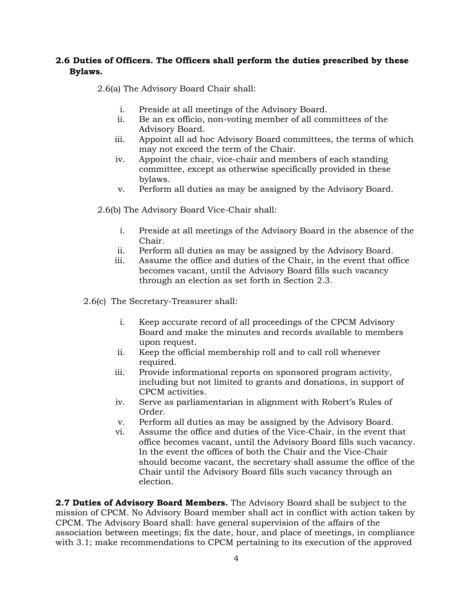### **2.6 Duties of Officers. The Officers shall perform the duties prescribed by these Bylaws.**

2.6(a) The Advisory Board Chair shall:

- i. Preside at all meetings of the Advisory Board.
- ii. Be an ex officio, non-voting member of all committees of the Advisory Board.
- iii. Appoint all ad hoc Advisory Board committees, the terms of which may not exceed the term of the Chair.
- iv. Appoint the chair, vice-chair and members of each standing committee, except as otherwise specifically provided in these bylaws.
- v. Perform all duties as may be assigned by the Advisory Board.
- 2.6(b) The Advisory Board Vice-Chair shall:
	- i. Preside at all meetings of the Advisory Board in the absence of the Chair.
	- ii. Perform all duties as may be assigned by the Advisory Board.
	- iii. Assume the office and duties of the Chair, in the event that office becomes vacant, until the Advisory Board fills such vacancy through an election as set forth in Section 2.3.
- 2.6(c) The Secretary-Treasurer shall:
	- i. Keep accurate record of all proceedings of the CPCM Advisory Board and make the minutes and records available to members upon request.
	- ii. Keep the official membership roll and to call roll whenever required.
	- iii. Provide informational reports on sponsored program activity, including but not limited to grants and donations, in support of CPCM activities.
	- iv. Serve as parliamentarian in alignment with Robert's Rules of Order.
	- v. Perform all duties as may be assigned by the Advisory Board.
	- vi. Assume the office and duties of the Vice-Chair, in the event that office becomes vacant, until the Advisory Board fills such vacancy. In the event the offices of both the Chair and the Vice-Chair should become vacant, the secretary shall assume the office of the Chair until the Advisory Board fills such vacancy through an election.

**2.7 Duties of Advisory Board Members.** The Advisory Board shall be subject to the mission of CPCM. No Advisory Board member shall act in conflict with action taken by CPCM. The Advisory Board shall: have general supervision of the affairs of the association between meetings; fix the date, hour, and place of meetings, in compliance with 3.1; make recommendations to CPCM pertaining to its execution of the approved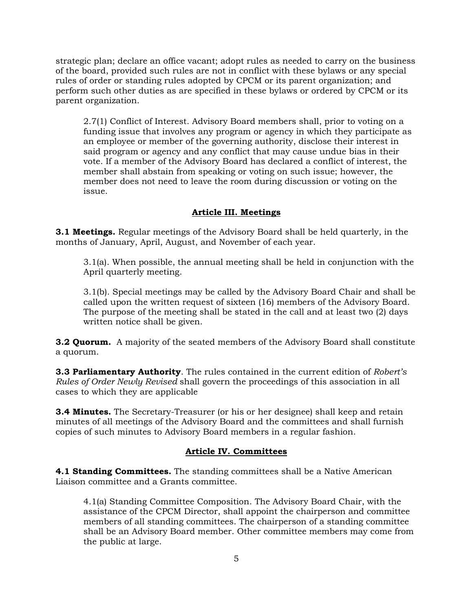strategic plan; declare an office vacant; adopt rules as needed to carry on the business of the board, provided such rules are not in conflict with these bylaws or any special rules of order or standing rules adopted by CPCM or its parent organization; and perform such other duties as are specified in these bylaws or ordered by CPCM or its parent organization.

2.7(1) Conflict of Interest. Advisory Board members shall, prior to voting on a funding issue that involves any program or agency in which they participate as an employee or member of the governing authority, disclose their interest in said program or agency and any conflict that may cause undue bias in their vote. If a member of the Advisory Board has declared a conflict of interest, the member shall abstain from speaking or voting on such issue; however, the member does not need to leave the room during discussion or voting on the issue.

# **Article III. Meetings**

**3.1 Meetings.** Regular meetings of the Advisory Board shall be held quarterly, in the months of January, April, August, and November of each year.

3.1(a). When possible, the annual meeting shall be held in conjunction with the April quarterly meeting.

3.1(b). Special meetings may be called by the Advisory Board Chair and shall be called upon the written request of sixteen (16) members of the Advisory Board. The purpose of the meeting shall be stated in the call and at least two (2) days written notice shall be given.

**3.2 Quorum.** A majority of the seated members of the Advisory Board shall constitute a quorum.

**3.3 Parliamentary Authority**. The rules contained in the current edition of *Robert's Rules of Order Newly Revised* shall govern the proceedings of this association in all cases to which they are applicable

**3.4 Minutes.** The Secretary-Treasurer (or his or her designee) shall keep and retain minutes of all meetings of the Advisory Board and the committees and shall furnish copies of such minutes to Advisory Board members in a regular fashion.

#### **Article IV. Committees**

**4.1 Standing Committees.** The standing committees shall be a Native American Liaison committee and a Grants committee.

4.1(a) Standing Committee Composition. The Advisory Board Chair, with the assistance of the CPCM Director, shall appoint the chairperson and committee members of all standing committees. The chairperson of a standing committee shall be an Advisory Board member. Other committee members may come from the public at large.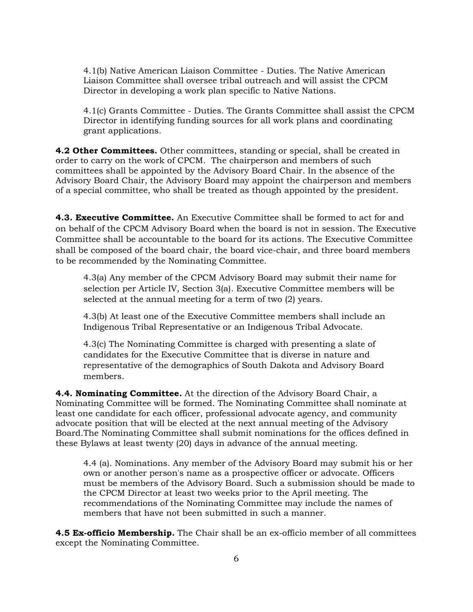4.1(b) Native American Liaison Committee - Duties. The Native American Liaison Committee shall oversee tribal outreach and will assist the CPCM Director in developing a work plan specific to Native Nations.

4.1(c) Grants Committee - Duties. The Grants Committee shall assist the CPCM Director in identifying funding sources for all work plans and coordinating grant applications.

**4.2 Other Committees.** Other committees, standing or special, shall be created in order to carry on the work of CPCM. The chairperson and members of such committees shall be appointed by the Advisory Board Chair. In the absence of the Advisory Board Chair, the Advisory Board may appoint the chairperson and members of a special committee, who shall be treated as though appointed by the president.

**4.3. Executive Committee.** An Executive Committee shall be formed to act for and on behalf of the CPCM Advisory Board when the board is not in session. The Executive Committee shall be accountable to the board for its actions. The Executive Committee shall be composed of the board chair, the board vice-chair, and three board members to be recommended by the Nominating Committee.

4.3(a) Any member of the CPCM Advisory Board may submit their name for selection per Article IV, Section 3(a). Executive Committee members will be selected at the annual meeting for a term of two (2) years.

4.3(b) At least one of the Executive Committee members shall include an Indigenous Tribal Representative or an Indigenous Tribal Advocate.

4.3(c) The Nominating Committee is charged with presenting a slate of candidates for the Executive Committee that is diverse in nature and representative of the demographics of South Dakota and Advisory Board members.

**4.4. Nominating Committee.** At the direction of the Advisory Board Chair, a Nominating Committee will be formed. The Nominating Committee shall nominate at least one candidate for each officer, professional advocate agency, and community advocate position that will be elected at the next annual meeting of the Advisory Board.The Nominating Committee shall submit nominations for the offices defined in these Bylaws at least twenty (20) days in advance of the annual meeting.

4.4 (a). Nominations. Any member of the Advisory Board may submit his or her own or another person's name as a prospective officer or advocate. Officers must be members of the Advisory Board. Such a submission should be made to the CPCM Director at least two weeks prior to the April meeting. The recommendations of the Nominating Committee may include the names of members that have not been submitted in such a manner.

**4.5 Ex-officio Membership.** The Chair shall be an ex-officio member of all committees except the Nominating Committee.